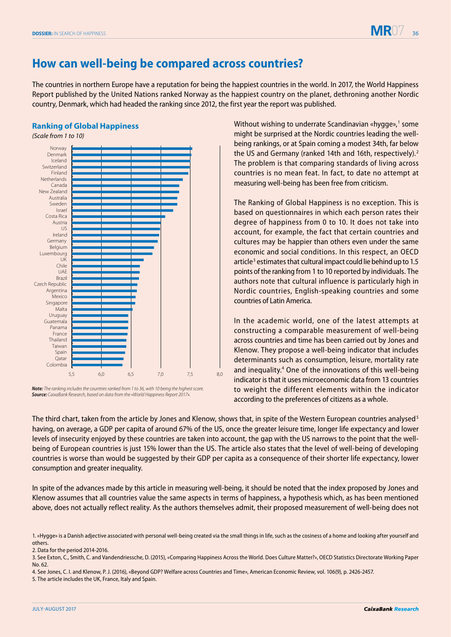

## **How can well-being be compared across countries?**

The countries in northern Europe have a reputation for being the happiest countries in the world. In 2017, the World Happiness Report published by the United Nations ranked Norway as the happiest country on the planet, dethroning another Nordic country, Denmark, which had headed the ranking since 2012, the first year the report was published.

## **Ranking of Global Happiness**



*Note: The ranking includes the countries ranked from 1 to 36, with 10 being the highest score. Source: CaixaBank Research, based on data from the «World Happiness Report 2017».*

Without wishing to underrate Scandinavian «hygge»,<sup>1</sup> some might be surprised at the Nordic countries leading the wellbeing rankings, or at Spain coming a modest 34th, far below the US and Germany (ranked 14th and 16th, respectively).<sup>2</sup> The problem is that comparing standards of living across countries is no mean feat. In fact, to date no attempt at measuring well-being has been free from criticism.

The Ranking of Global Happiness is no exception. This is based on questionnaires in which each person rates their degree of happiness from 0 to 10. It does not take into account, for example, the fact that certain countries and cultures may be happier than others even under the same economic and social conditions. In this respect, an OECD article<sup>3</sup> estimates that cultural impact could lie behind up to 1.5 points of the ranking from 1 to 10 reported by individuals. The authors note that cultural influence is particularly high in Nordic countries, English-speaking countries and some countries of Latin America.

In the academic world, one of the latest attempts at constructing a comparable measurement of well-being across countries and time has been carried out by Jones and Klenow. They propose a well-being indicator that includes determinants such as consumption, leisure, mortality rate and inequality.<sup>4</sup> One of the innovations of this well-being indicator is that it uses microeconomic data from 13 countries to weight the different elements within the indicator according to the preferences of citizens as a whole.

The third chart, taken from the article by Jones and Klenow, shows that, in spite of the Western European countries analysed<sup>5</sup> having, on average, a GDP per capita of around 67% of the US, once the greater leisure time, longer life expectancy and lower levels of insecurity enjoyed by these countries are taken into account, the gap with the US narrows to the point that the wellbeing of European countries is just 15% lower than the US. The article also states that the level of well-being of developing countries is worse than would be suggested by their GDP per capita as a consequence of their shorter life expectancy, lower consumption and greater inequality.

In spite of the advances made by this article in measuring well-being, it should be noted that the index proposed by Jones and Klenow assumes that all countries value the same aspects in terms of happiness, a hypothesis which, as has been mentioned above, does not actually reflect reality. As the authors themselves admit, their proposed measurement of well-being does not

2. Data for the period 2014-2016.

<sup>1. «</sup>Hygge» is a Danish adjective associated with personal well-being created via the small things in life, such as the cosiness of a home and looking after yourself and others.

<sup>3.</sup> See Exton, C., Smith, C. and Vandendriessche, D. (2015), «Comparing Happiness Across the World. Does Culture Matter?», OECD Statistics Directorate Working Paper No. 62.

<sup>4.</sup> See Jones, C. I. and Klenow, P. J. (2016), «Beyond GDP? Welfare across Countries and Time», American Economic Review, vol. 106(9), p. 2426-2457.

<sup>5.</sup> The article includes the UK, France, Italy and Spain.